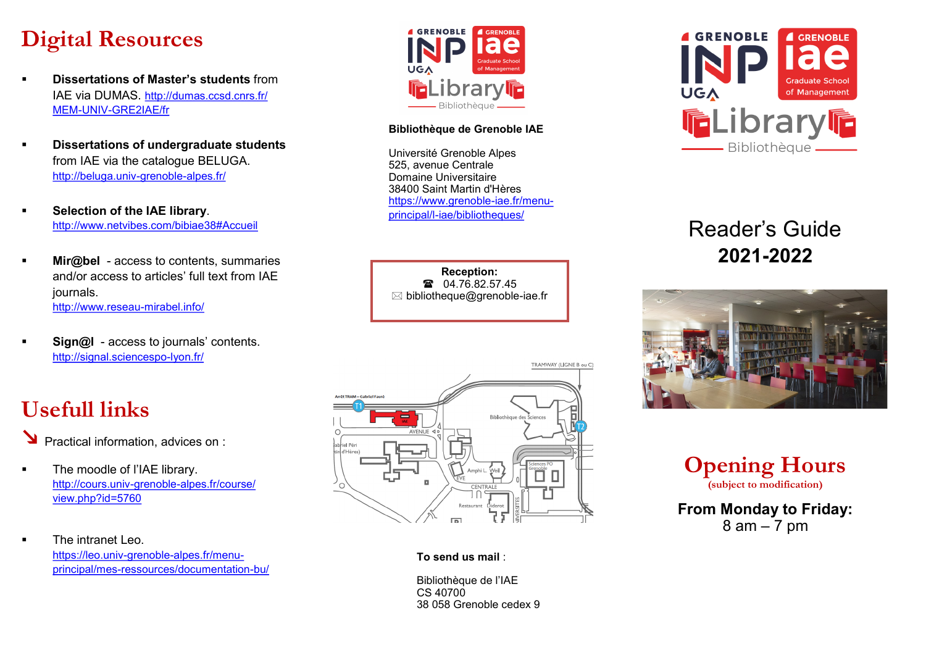# **Digital Resources**

- **Dissertations of Master's students** from IAE via DUMAS. [http://dumas.ccsd.cnrs.fr/](http://dumas.ccsd.cnrs.fr/MEM-UNIV-GRE2IAE/fr) MEM-UNIV-[GRE2IAE/fr](http://dumas.ccsd.cnrs.fr/MEM-UNIV-GRE2IAE/fr)
- **Dissertations of undergraduate students** from IAE via the catalogue BELUGA. [http://beluga.univ](http://penelope.upmf-grenoble.fr/)-grenoble-alpes.fr/
- **Selection of the IAE library**. <http://www.netvibes.com/bibiae38#Accueil>
- **Mir@bel** access to contents, summaries and/or access to articles' full text from IAE journals. [http://www.reseau](http://www.reseau-mirabel.info/)-mirabel.info/
- **Sign@l** access to journals' contents. [http://signal.sciencespo](http://signal.sciencespo-lyon.fr/)-lyon.fr/

# **Usefull links**

- Practical information, advices on :
- **•** The moodle of l'IAE library. [http://cours.univ](http://cours.univ-grenoble-alpes.fr/course/view.php?id=5760)-grenoble-alpes.fr/course/ [view.php?id=5760](http://cours.univ-grenoble-alpes.fr/course/view.php?id=5760)
- The intranet Leo [https://leo.univ](https://leo.univ-grenoble-alpes.fr/menu-principal/mes-ressources/documentation-bu/)-grenoble-alpes.fr/menuprincipal/mes-[ressources/documentation](https://leo.univ-grenoble-alpes.fr/menu-principal/mes-ressources/documentation-bu/)-bu/



#### **Bibliothèque de Grenoble IAE**

Université Grenoble Alpes 525, avenue Centrale Domaine Universitaire 38400 Saint Martin d'Hères [https://www.grenoble](https://www.grenoble-iae.fr/menu-principal/l-iae/bibliotheques/)-iae.fr/menuprincipal/l-[iae/bibliotheques/](https://www.grenoble-iae.fr/menu-principal/l-iae/bibliotheques/)

**Reception:** 1 04.76.82.57.45  $\boxtimes$  bibliotheque@grenoble-iae.fr



#### **To send us mail** :

Bibliothèque de l'IAE CS 40700 38 058 Grenoble cedex 9



## Reader's Guide **2021-2022**



| <b>Opening Hours</b>      |
|---------------------------|
| (subject to modification) |
| Marshala Friday           |

**From Monday to Friday:**  $8$  am  $-7$  pm